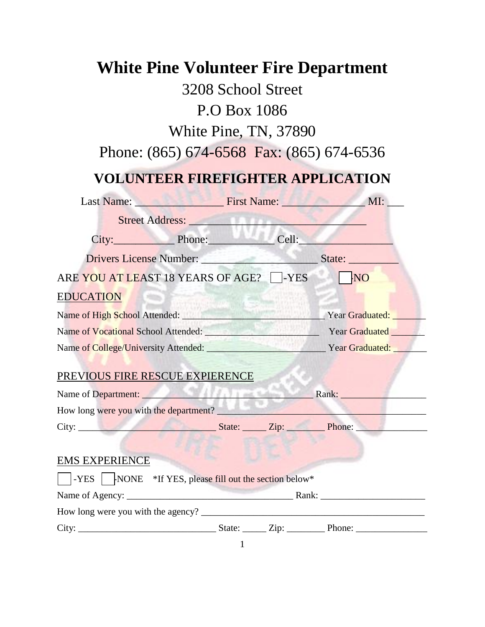# **White Pine Volunteer Fire Department**  3208 School Street P.O Box 1086 White Pine, TN, 37890 Phone: (865) 674-6568 Fax: (865) 674-6536 **VOLUNTEER FIREFIGHTER APPLICATION**  Last Name: \_\_\_\_\_\_\_\_\_\_\_\_\_\_\_\_ First Name: \_\_\_\_\_\_\_\_\_\_\_\_\_\_\_ MI: \_\_\_ Street Address: \_\_\_\_\_\_\_\_\_\_\_\_\_\_\_\_\_\_\_\_\_\_\_\_\_\_\_\_\_\_\_\_ City:\_\_\_\_\_\_\_\_\_\_\_ Phone:\_\_\_\_\_\_\_\_\_\_\_\_ Cell:\_\_\_\_\_\_\_\_\_\_\_\_\_\_\_\_\_ Drivers License Number: \_\_\_\_\_\_\_\_\_\_\_\_\_\_\_\_\_\_\_\_\_ State: \_\_\_\_\_\_\_\_\_ ARE YOU AT LEAST 18 YEARS OF AGE?  $\Box$ -YES NO EDUCATION Name of High School Attended: \_\_\_\_\_\_\_\_\_\_\_\_\_\_\_\_\_\_\_\_\_\_\_\_\_\_\_\_\_\_ Year Graduated: \_\_\_\_\_\_\_ Name of Vocational School Attended: <br>
Year Graduated **Exercises** Name of College/University Attended: \_\_\_\_\_\_\_\_\_\_\_\_\_\_\_\_\_\_\_\_\_\_\_\_\_ Year Graduated: \_\_\_\_\_\_\_ PREVIOUS FIRE RESCUE EXPIERENCE Name of Department: \_\_\_\_\_\_\_\_\_\_\_\_\_\_\_\_\_\_\_\_\_\_\_\_\_\_\_\_\_\_\_\_\_\_\_\_ Rank: \_\_\_\_\_\_\_\_\_\_\_\_\_\_\_\_\_\_ How long were you with the department? City: \_\_\_\_\_\_\_\_\_\_\_\_\_\_\_\_\_\_\_\_\_\_\_\_\_\_\_\_\_ State: \_\_\_\_\_ Zip: \_\_\_\_\_\_\_\_ Phone: \_\_\_\_\_\_\_\_\_\_\_\_\_\_\_ EMS EXPERIENCE  $\vert$ -YES  $\vert$  -NONE \*If YES, please fill out the section below\* Name of Agency: \_\_\_\_\_\_\_\_\_\_\_\_\_\_\_\_\_\_\_\_\_\_\_\_\_\_\_\_\_\_\_\_\_\_\_ Rank: \_\_\_\_\_\_\_\_\_\_\_\_\_\_\_\_\_\_\_\_\_\_ How long were you with the agency? \_\_\_\_\_\_\_\_\_\_\_\_\_\_\_\_\_\_\_\_\_\_\_\_\_\_\_\_\_\_\_\_\_\_\_\_\_\_\_\_\_\_\_\_\_\_\_ City: \_\_\_\_\_\_\_\_\_\_\_\_\_\_\_\_\_\_\_\_\_\_\_\_\_\_\_\_\_ State: \_\_\_\_\_ Zip: \_\_\_\_\_\_\_\_ Phone: \_\_\_\_\_\_\_\_\_\_\_\_\_\_\_

1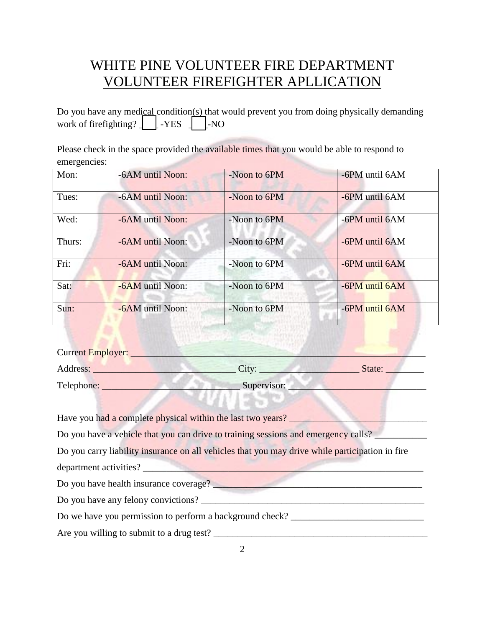Do you have any medical condition(s) that would prevent you from doing physically demanding work of firefighting?  $\boxed{\phantom{1}}$  -YES  $\phantom{1}$   $\phantom{1}$  -NO

Please check in the space provided the available times that you would be able to respond to emergencies:

| Mon:   | -6AM until Noon: | -Noon to 6PM | -6PM until 6AM |
|--------|------------------|--------------|----------------|
| Tues:  | -6AM until Noon: | -Noon to 6PM | -6PM until 6AM |
| Wed:   | -6AM until Noon: | -Noon to 6PM | -6PM until 6AM |
| Thurs: | -6AM until Noon: | -Noon to 6PM | -6PM until 6AM |
| Fri:   | -6AM until Noon: | -Noon to 6PM | -6PM until 6AM |
| Sat:   | -6AM until Noon: | -Noon to 6PM | -6PM until 6AM |
| Sun:   | -6AM until Noon: | -Noon to 6PM | -6PM until 6AM |

Current Employer: Address: \_\_\_\_\_\_\_\_\_\_\_\_\_\_\_\_\_\_\_\_\_\_\_\_\_\_\_\_\_\_ City: \_\_\_\_\_\_\_\_\_\_\_\_\_\_\_\_\_\_\_\_\_ State: \_\_\_\_\_\_\_\_ Telephone: \_\_\_\_\_\_\_\_\_\_\_\_\_\_\_\_\_\_\_\_\_\_\_\_\_\_\_\_\_ Supervisor: \_\_\_\_\_\_\_\_\_\_\_\_\_\_\_\_\_\_\_\_\_\_\_\_\_\_\_\_\_

Have you had a complete physical within the last two years?

Do you have a vehicle that you can drive to training sessions and emergency calls?

Do you carry liability insurance on all vehicles that you may drive while participation in fire

department activities?

Do you have health insurance coverage?

Do you have any felony convictions?

Do we have you permission to perform a background check?

Are you willing to submit to a drug test?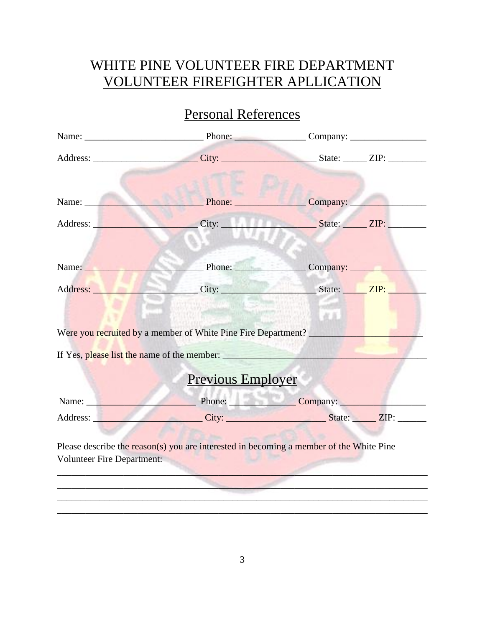# Personal References

|                                   | Address: ________________________City: _______________________State: _______ZIP: ___________________         |                     |  |
|-----------------------------------|--------------------------------------------------------------------------------------------------------------|---------------------|--|
| Name: Name                        | Phone:                                                                                                       | $\sqrt{2}$ Company: |  |
|                                   |                                                                                                              |                     |  |
| Name: Name                        | Phone: Company:                                                                                              |                     |  |
|                                   | Address: City: City: State: The ZIP:                                                                         |                     |  |
|                                   | Were you recruited by a member of White Pine Fire Department?<br>If Yes, please list the name of the member: | 直直                  |  |
|                                   | <b>Previous Employer</b>                                                                                     |                     |  |
| Name:                             | Phone: Company:                                                                                              |                     |  |
|                                   | Address: City: City: State: ZIP:                                                                             |                     |  |
| <b>Volunteer Fire Department:</b> | Please describe the reason(s) you are interested in becoming a member of the White Pine                      |                     |  |

\_\_\_\_\_\_\_\_\_\_\_\_\_\_\_\_\_\_\_\_\_\_\_\_\_\_\_\_\_\_\_\_\_\_\_\_\_\_\_\_\_\_\_\_\_\_\_\_\_\_\_\_\_\_\_\_\_\_\_\_\_\_\_\_\_\_\_\_\_\_\_\_\_\_\_\_\_\_ \_\_\_\_\_\_\_\_\_\_\_\_\_\_\_\_\_\_\_\_\_\_\_\_\_\_\_\_\_\_\_\_\_\_\_\_\_\_\_\_\_\_\_\_\_\_\_\_\_\_\_\_\_\_\_\_\_\_\_\_\_\_\_\_\_\_\_\_\_\_\_\_\_\_\_\_\_\_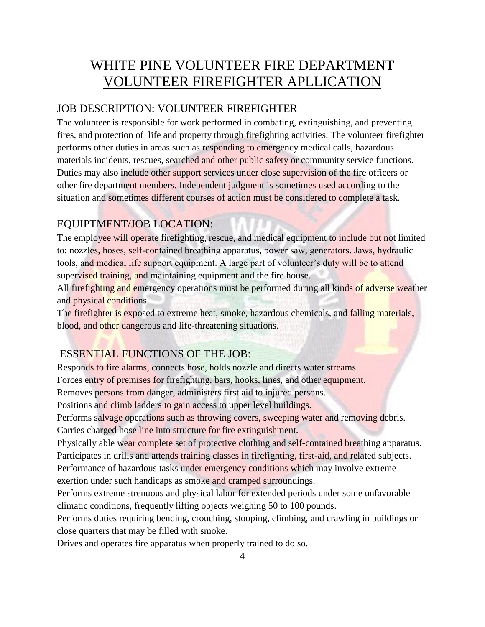### JOB DESCRIPTION: VOLUNTEER FIREFIGHTER

The volunteer is responsible for work performed in combating, extinguishing, and preventing fires, and protection of life and property through firefighting activities. The volunteer firefighter performs other duties in areas such as responding to emergency medical calls, hazardous materials incidents, rescues, searched and other public safety or community service functions. Duties may also include other support services under close supervision of the fire officers or other fire department members. Independent judgment is sometimes used according to the situation and sometimes different courses of action must be considered to complete a task.

### EQUIPTMENT/JOB LOCATION:

The employee will operate firefighting, rescue, and medical equipment to include but not limited to: nozzles, hoses, self-contained breathing apparatus, power saw, generators. Jaws, hydraulic tools, and medical life support equipment. A large part of volunteer's duty will be to attend supervised training, and maintaining equipment and the fire house.

All firefighting and emergency operations must be performed during all kinds of adverse weather and physical conditions.

The firefighter is exposed to extreme heat, smoke, hazardous chemicals, and falling materials, blood, and other dangerous and life-threatening situations.

### ESSENTIAL FUNCTIONS OF THE JOB:

Responds to fire alarms, connects hose, holds nozzle and directs water streams.

Forces entry of premises for firefighting, bars, hooks, lines, and other equipment.

Removes persons from danger, administers first aid to injured persons.

Positions and climb ladders to gain access to upper level buildings.

Performs salvage operations such as throwing covers, sweeping water and removing debris. Carries charged hose line into structure for fire extinguishment.

Physically able wear complete set of protective clothing and self-contained breathing apparatus. Participates in drills and attends training classes in firefighting, first-aid, and related subjects.

Performance of hazardous tasks under emergency conditions which may involve extreme exertion under such handicaps as smoke and cramped surroundings.

Performs extreme strenuous and physical labor for extended periods under some unfavorable climatic conditions, frequently lifting objects weighing 50 to 100 pounds.

Performs duties requiring bending, crouching, stooping, climbing, and crawling in buildings or close quarters that may be filled with smoke.

Drives and operates fire apparatus when properly trained to do so.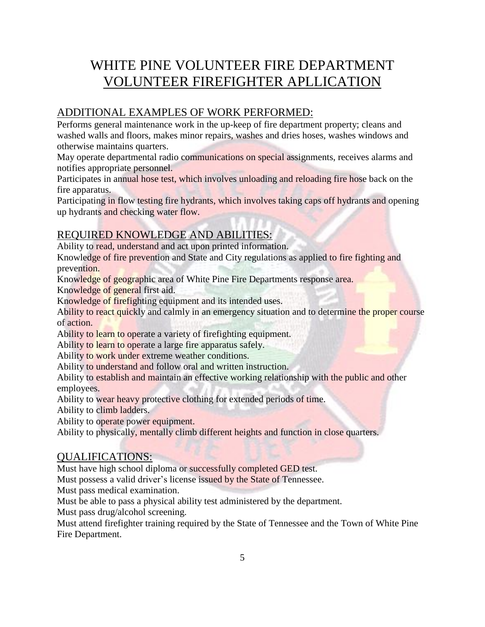# ADDITIONAL EXAMPLES OF WORK PERFORMED:

Performs general maintenance work in the up-keep of fire department property; cleans and washed walls and floors, makes minor repairs, washes and dries hoses, washes windows and otherwise maintains quarters.

May operate departmental radio communications on special assignments, receives alarms and notifies appropriate personnel.

Participates in annual hose test, which involves unloading and reloading fire hose back on the fire apparatus.

Participating in flow testing fire hydrants, which involves taking caps off hydrants and opening up hydrants and checking water flow.

## REQUIRED KNOWLEDGE AND ABILITIES:

Ability to read, understand and act upon printed information.

Knowledge of fire prevention and State and City regulations as applied to fire fighting and prevention.

Knowledge of geographic area of White Pine Fire Departments response area.

Knowledge of general first aid.

Knowledge of firefighting equipment and its intended uses.

Ability to react quickly and calmly in an emergency situation and to determine the proper course of action.

Ability to learn to operate a variety of firefighting equipment.

Ability to learn to operate a large fire apparatus safely.

Ability to work under extreme weather conditions.

Ability to understand and follow oral and written instruction.

Ability to establish and maintain an effective working relationship with the public and other employees.

Ability to wear heavy protective clothing for extended periods of time.

Ability to climb ladders.

Ability to operate power equipment.

Ability to physically, mentally climb different heights and function in close quarters.

### QUALIFICATIONS:

Must have high school diploma or successfully completed GED test.

Must possess a valid driver's license issued by the State of Tennessee.

Must pass medical examination.

Must be able to pass a physical ability test administered by the department.

Must pass drug/alcohol screening.

Must attend firefighter training required by the State of Tennessee and the Town of White Pine Fire Department.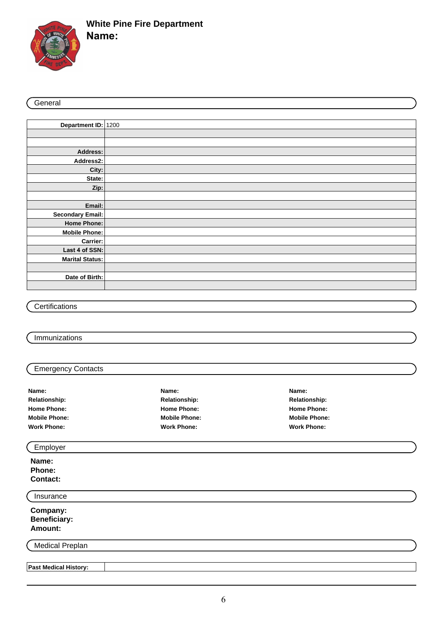

# **White Pine Fire Department**

**Name:**

#### **General**

| Department ID: 1200     |  |
|-------------------------|--|
|                         |  |
|                         |  |
| Address:                |  |
| Address2:               |  |
| City:                   |  |
| State:                  |  |
| Zip:                    |  |
|                         |  |
| Email:                  |  |
| <b>Secondary Email:</b> |  |
| Home Phone:             |  |
| Mobile Phone:           |  |
| Carrier:                |  |
| Last 4 of SSN:          |  |
| Marital Status:         |  |
|                         |  |
| Date of Birth:          |  |
|                         |  |

### **Certifications**

#### Immunizations

**Past Medical History:**

#### Emergency Contacts

| Name:                | Name:                | Name:                |
|----------------------|----------------------|----------------------|
| <b>Relationship:</b> | <b>Relationship:</b> | <b>Relationship:</b> |
| <b>Home Phone:</b>   | <b>Home Phone:</b>   | <b>Home Phone:</b>   |
| <b>Mobile Phone:</b> | <b>Mobile Phone:</b> | <b>Mobile Phone:</b> |
| <b>Work Phone:</b>   | <b>Work Phone:</b>   | <b>Work Phone:</b>   |
| Employer             |                      |                      |

# **Name: Phone: Contact:**

| Insurance                                   |  |  |  |
|---------------------------------------------|--|--|--|
| <b>Company:<br/>Beneficiary:</b><br>Amount: |  |  |  |
| <b>Medical Preplan</b>                      |  |  |  |
|                                             |  |  |  |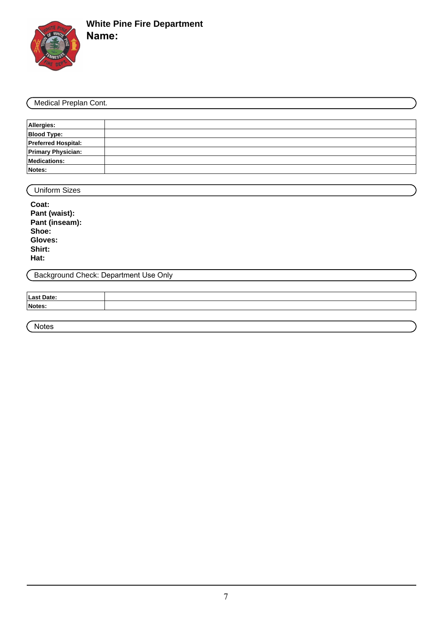

**Name:**

| Medical Preplan Cont.      |                                       |  |  |
|----------------------------|---------------------------------------|--|--|
|                            |                                       |  |  |
| Allergies:                 |                                       |  |  |
| <b>Blood Type:</b>         |                                       |  |  |
| <b>Preferred Hospital:</b> |                                       |  |  |
| <b>Primary Physician:</b>  |                                       |  |  |
| <b>Medications:</b>        |                                       |  |  |
| Notes:                     |                                       |  |  |
|                            |                                       |  |  |
| <b>Uniform Sizes</b>       |                                       |  |  |
| Coat:                      |                                       |  |  |
| Pant (waist):              |                                       |  |  |
| Pant (inseam):             |                                       |  |  |
| Shoe:                      |                                       |  |  |
| Gloves:                    |                                       |  |  |
| Shirt:                     |                                       |  |  |
| Hat:                       |                                       |  |  |
|                            | Background Check: Department Use Only |  |  |
|                            |                                       |  |  |
| <b>Last Date:</b>          |                                       |  |  |
|                            |                                       |  |  |

Notes